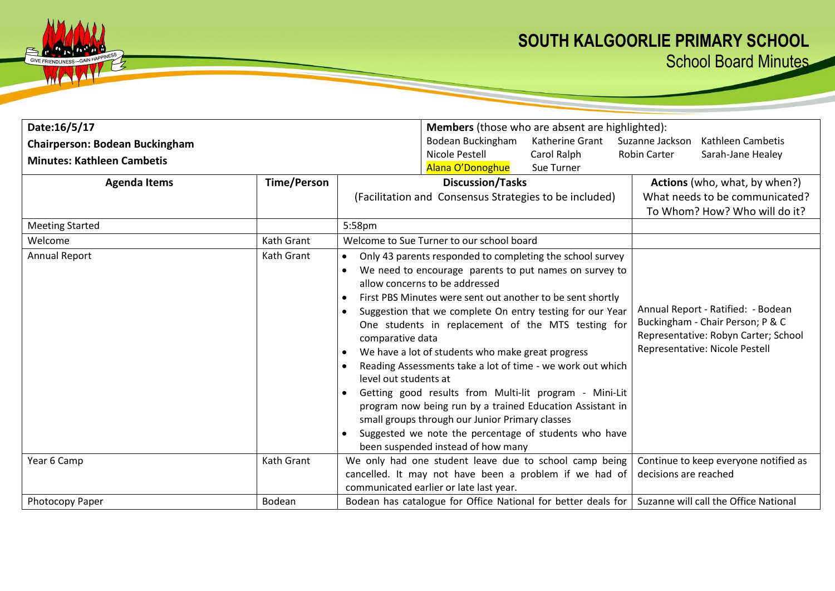## **SOUTH KALGOORLIE PRIMARY SCHOOL** School Board Minutes

| Date:16/5/17                          |                    |                                                                                                            | <b>Members</b> (those who are absent are highlighted):                                                                                                                                                                                                                                                                                                                                                                                                                                                                                                                                                                                                                                                                             |                 |                       |                                                                                                                                                  |  |  |
|---------------------------------------|--------------------|------------------------------------------------------------------------------------------------------------|------------------------------------------------------------------------------------------------------------------------------------------------------------------------------------------------------------------------------------------------------------------------------------------------------------------------------------------------------------------------------------------------------------------------------------------------------------------------------------------------------------------------------------------------------------------------------------------------------------------------------------------------------------------------------------------------------------------------------------|-----------------|-----------------------|--------------------------------------------------------------------------------------------------------------------------------------------------|--|--|
| <b>Chairperson: Bodean Buckingham</b> |                    |                                                                                                            | Bodean Buckingham                                                                                                                                                                                                                                                                                                                                                                                                                                                                                                                                                                                                                                                                                                                  | Katherine Grant | Suzanne Jackson       | Kathleen Cambetis                                                                                                                                |  |  |
| <b>Minutes: Kathleen Cambetis</b>     |                    |                                                                                                            | Nicole Pestell                                                                                                                                                                                                                                                                                                                                                                                                                                                                                                                                                                                                                                                                                                                     | Carol Ralph     | <b>Robin Carter</b>   | Sarah-Jane Healey                                                                                                                                |  |  |
|                                       |                    |                                                                                                            | Alana O'Donoghue                                                                                                                                                                                                                                                                                                                                                                                                                                                                                                                                                                                                                                                                                                                   | Sue Turner      |                       |                                                                                                                                                  |  |  |
| <b>Agenda Items</b>                   | <b>Time/Person</b> |                                                                                                            | <b>Discussion/Tasks</b>                                                                                                                                                                                                                                                                                                                                                                                                                                                                                                                                                                                                                                                                                                            |                 |                       | Actions (who, what, by when?)                                                                                                                    |  |  |
|                                       |                    | (Facilitation and Consensus Strategies to be included)                                                     |                                                                                                                                                                                                                                                                                                                                                                                                                                                                                                                                                                                                                                                                                                                                    |                 |                       | What needs to be communicated?                                                                                                                   |  |  |
|                                       |                    |                                                                                                            |                                                                                                                                                                                                                                                                                                                                                                                                                                                                                                                                                                                                                                                                                                                                    |                 |                       | To Whom? How? Who will do it?                                                                                                                    |  |  |
| <b>Meeting Started</b>                |                    | 5:58pm                                                                                                     |                                                                                                                                                                                                                                                                                                                                                                                                                                                                                                                                                                                                                                                                                                                                    |                 |                       |                                                                                                                                                  |  |  |
| Welcome                               | Kath Grant         |                                                                                                            | Welcome to Sue Turner to our school board                                                                                                                                                                                                                                                                                                                                                                                                                                                                                                                                                                                                                                                                                          |                 |                       |                                                                                                                                                  |  |  |
| <b>Annual Report</b>                  | Kath Grant         | $\bullet$<br>$\bullet$<br>$\bullet$<br>comparative data<br>$\bullet$<br>level out students at<br>$\bullet$ | Only 43 parents responded to completing the school survey<br>We need to encourage parents to put names on survey to<br>allow concerns to be addressed<br>First PBS Minutes were sent out another to be sent shortly<br>Suggestion that we complete On entry testing for our Year<br>One students in replacement of the MTS testing for<br>We have a lot of students who make great progress<br>Reading Assessments take a lot of time - we work out which<br>Getting good results from Multi-lit program - Mini-Lit<br>program now being run by a trained Education Assistant in<br>small groups through our Junior Primary classes<br>Suggested we note the percentage of students who have<br>been suspended instead of how many |                 |                       | Annual Report - Ratified: - Bodean<br>Buckingham - Chair Person; P & C<br>Representative: Robyn Carter; School<br>Representative: Nicole Pestell |  |  |
| Year 6 Camp                           | Kath Grant         |                                                                                                            | We only had one student leave due to school camp being<br>cancelled. It may not have been a problem if we had of<br>communicated earlier or late last year.                                                                                                                                                                                                                                                                                                                                                                                                                                                                                                                                                                        |                 | decisions are reached | Continue to keep everyone notified as                                                                                                            |  |  |
| Photocopy Paper                       | Bodean             |                                                                                                            | Bodean has catalogue for Office National for better deals for Suzanne will call the Office National                                                                                                                                                                                                                                                                                                                                                                                                                                                                                                                                                                                                                                |                 |                       |                                                                                                                                                  |  |  |
|                                       |                    |                                                                                                            |                                                                                                                                                                                                                                                                                                                                                                                                                                                                                                                                                                                                                                                                                                                                    |                 |                       |                                                                                                                                                  |  |  |

GIVE FRIENDLINESS-GAIN

WA

 $\mathcal{P}$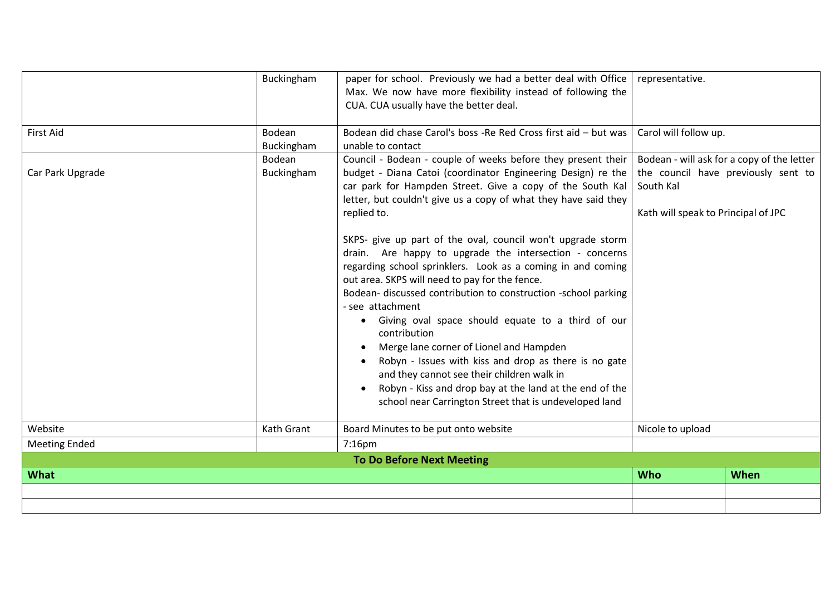| <b>What</b>          |                                | <b>To Do Before Next Meeting</b>                                                                                                                                                                                                                                                                                                                                                                                                                                                                                                                                                                                                                                                                                                                                                                                                                                                              | <b>Who</b>                                                                                                  | <b>When</b>                                |
|----------------------|--------------------------------|-----------------------------------------------------------------------------------------------------------------------------------------------------------------------------------------------------------------------------------------------------------------------------------------------------------------------------------------------------------------------------------------------------------------------------------------------------------------------------------------------------------------------------------------------------------------------------------------------------------------------------------------------------------------------------------------------------------------------------------------------------------------------------------------------------------------------------------------------------------------------------------------------|-------------------------------------------------------------------------------------------------------------|--------------------------------------------|
| <b>Meeting Ended</b> |                                | $7:16$ pm                                                                                                                                                                                                                                                                                                                                                                                                                                                                                                                                                                                                                                                                                                                                                                                                                                                                                     |                                                                                                             |                                            |
| Website              | Kath Grant                     | Board Minutes to be put onto website                                                                                                                                                                                                                                                                                                                                                                                                                                                                                                                                                                                                                                                                                                                                                                                                                                                          | the council have previously sent to<br>South Kal<br>Kath will speak to Principal of JPC<br>Nicole to upload |                                            |
| Car Park Upgrade     | Buckingham                     | budget - Diana Catoi (coordinator Engineering Design) re the<br>car park for Hampden Street. Give a copy of the South Kal<br>letter, but couldn't give us a copy of what they have said they<br>replied to.<br>SKPS- give up part of the oval, council won't upgrade storm<br>drain. Are happy to upgrade the intersection - concerns<br>regarding school sprinklers. Look as a coming in and coming<br>out area. SKPS will need to pay for the fence.<br>Bodean- discussed contribution to construction -school parking<br>- see attachment<br>Giving oval space should equate to a third of our<br>٠<br>contribution<br>Merge lane corner of Lionel and Hampden<br>Robyn - Issues with kiss and drop as there is no gate<br>and they cannot see their children walk in<br>Robyn - Kiss and drop bay at the land at the end of the<br>school near Carrington Street that is undeveloped land |                                                                                                             |                                            |
| <b>First Aid</b>     | Bodean<br>Buckingham<br>Bodean | Bodean did chase Carol's boss -Re Red Cross first aid - but was<br>unable to contact<br>Council - Bodean - couple of weeks before they present their                                                                                                                                                                                                                                                                                                                                                                                                                                                                                                                                                                                                                                                                                                                                          | Carol will follow up.                                                                                       | Bodean - will ask for a copy of the letter |
|                      |                                | Max. We now have more flexibility instead of following the<br>CUA. CUA usually have the better deal.                                                                                                                                                                                                                                                                                                                                                                                                                                                                                                                                                                                                                                                                                                                                                                                          |                                                                                                             |                                            |
|                      | Buckingham                     | paper for school. Previously we had a better deal with Office                                                                                                                                                                                                                                                                                                                                                                                                                                                                                                                                                                                                                                                                                                                                                                                                                                 | representative.                                                                                             |                                            |